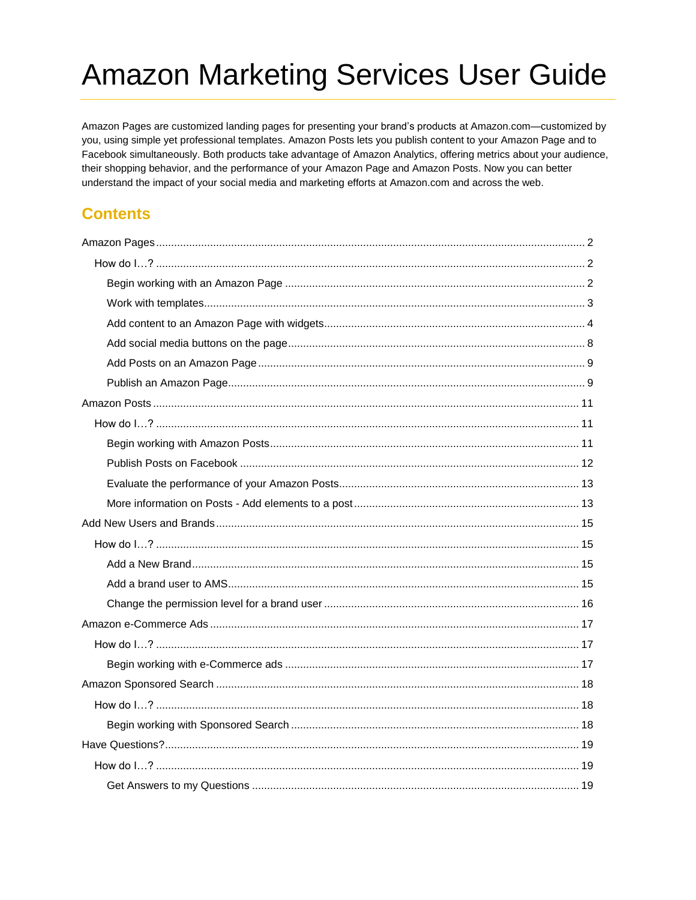Amazon Pages are customized landing pages for presenting your brand's products at Amazon.com-customized by you, using simple yet professional templates. Amazon Posts lets you publish content to your Amazon Page and to Facebook simultaneously. Both products take advantage of Amazon Analytics, offering metrics about your audience, their shopping behavior, and the performance of your Amazon Page and Amazon Posts. Now you can better understand the impact of your social media and marketing efforts at Amazon.com and across the web.

### **Contents**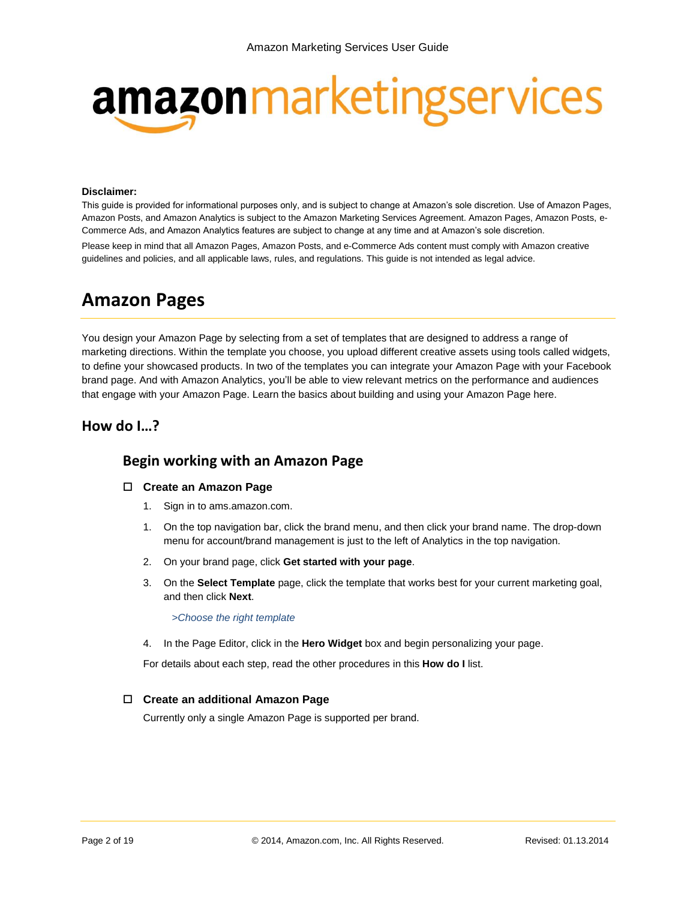# amazonmarketingservices

#### **Disclaimer:**

This guide is provided for informational purposes only, and is subject to change at Amazon's sole discretion. Use of Amazon Pages, Amazon Posts, and Amazon Analytics is subject to the Amazon Marketing Services Agreement. Amazon Pages, Amazon Posts, e-Commerce Ads, and Amazon Analytics features are subject to change at any time and at Amazon's sole discretion.

Please keep in mind that all Amazon Pages, Amazon Posts, and e-Commerce Ads content must comply with Amazon creative guidelines and policies, and all applicable laws, rules, and regulations. This guide is not intended as legal advice.

## **Amazon Pages**

You design your Amazon Page by selecting from a set of templates that are designed to address a range of marketing directions. Within the template you choose, you upload different creative assets using tools called widgets, to define your showcased products. In two of the templates you can integrate your Amazon Page with your Facebook brand page. And with Amazon Analytics, you'll be able to view relevant metrics on the performance and audiences that engage with your Amazon Page. Learn the basics about building and using your Amazon Page here.

#### <span id="page-1-0"></span>**How do I…?**

#### **Begin working with an Amazon Page**

#### **Create an Amazon Page**

- 1. Sign in to ams.amazon.com.
- 1. On the top navigation bar, click the brand menu, and then click your brand name. The drop-down menu for account/brand management is just to the left of Analytics in the top navigation.
- 2. On your brand page, click **Get started with your page**.
- 3. On the **Select Template** page, click the template that works best for your current marketing goal, and then click **Next**.

*[>Choose the right](#page-2-0) template*

4. In the Page Editor, click in the **Hero Widget** box and begin personalizing your page.

For details about each step, read the other procedures in this **How do I** list.

#### **Create an additional Amazon Page**

Currently only a single Amazon Page is supported per brand.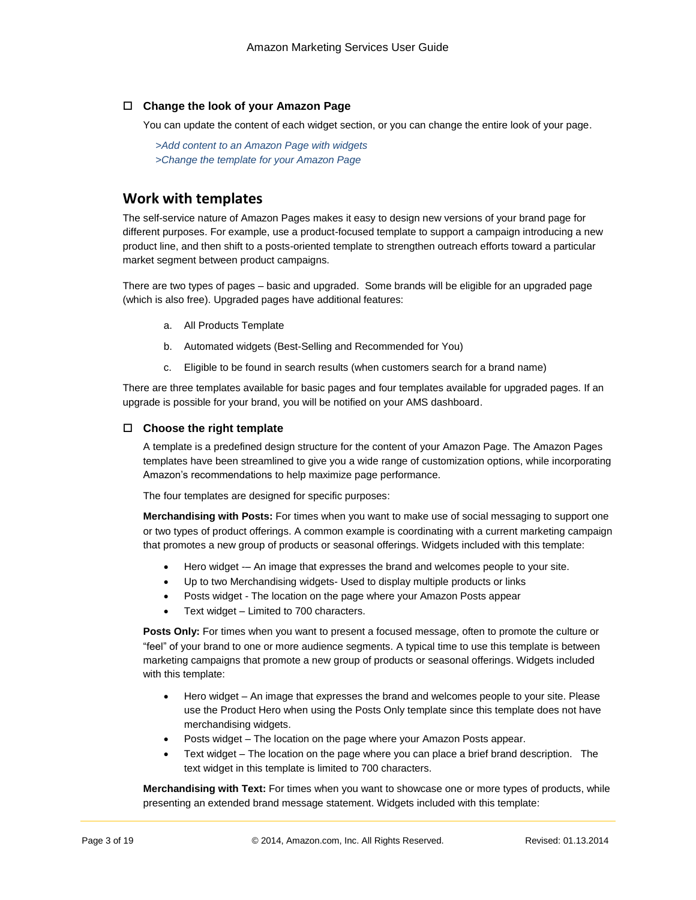#### **Change the look of your Amazon Page**

You can update the content of each widget section, or you can change the entire look of your page.

*>Add content [to an Amazon](#page-3-0) Page with widgets [>Change the template for your Amazon Page](#page-3-1)*

#### **Work with templates**

The self-service nature of Amazon Pages makes it easy to design new versions of your brand page for different purposes. For example, use a product-focused template to support a campaign introducing a new product line, and then shift to a posts-oriented template to strengthen outreach efforts toward a particular market segment between product campaigns.

There are two types of pages – basic and upgraded. Some brands will be eligible for an upgraded page (which is also free). Upgraded pages have additional features:

- a. All Products Template
- b. Automated widgets (Best-Selling and Recommended for You)
- c. Eligible to be found in search results (when customers search for a brand name)

There are three templates available for basic pages and four templates available for upgraded pages. If an upgrade is possible for your brand, you will be notified on your AMS dashboard.

#### <span id="page-2-0"></span>**Choose the right template**

A template is a predefined design structure for the content of your Amazon Page. The Amazon Pages templates have been streamlined to give you a wide range of customization options, while incorporating Amazon's recommendations to help maximize page performance.

The four templates are designed for specific purposes:

**Merchandising with Posts:** For times when you want to make use of social messaging to support one or two types of product offerings. A common example is coordinating with a current marketing campaign that promotes a new group of products or seasonal offerings. Widgets included with this template:

- Hero widget -– An image that expresses the brand and welcomes people to your site.
- Up to two Merchandising widgets- Used to display multiple products or links
- Posts widget The location on the page where your Amazon Posts appear
- Text widget Limited to 700 characters.

**Posts Only:** For times when you want to present a focused message, often to promote the culture or "feel" of your brand to one or more audience segments. A typical time to use this template is between marketing campaigns that promote a new group of products or seasonal offerings. Widgets included with this template:

- Hero widget An image that expresses the brand and welcomes people to your site. Please use the Product Hero when using the Posts Only template since this template does not have merchandising widgets.
- Posts widget The location on the page where your Amazon Posts appear.
- Text widget The location on the page where you can place a brief brand description. The text widget in this template is limited to 700 characters.

**Merchandising with Text:** For times when you want to showcase one or more types of products, while presenting an extended brand message statement. Widgets included with this template: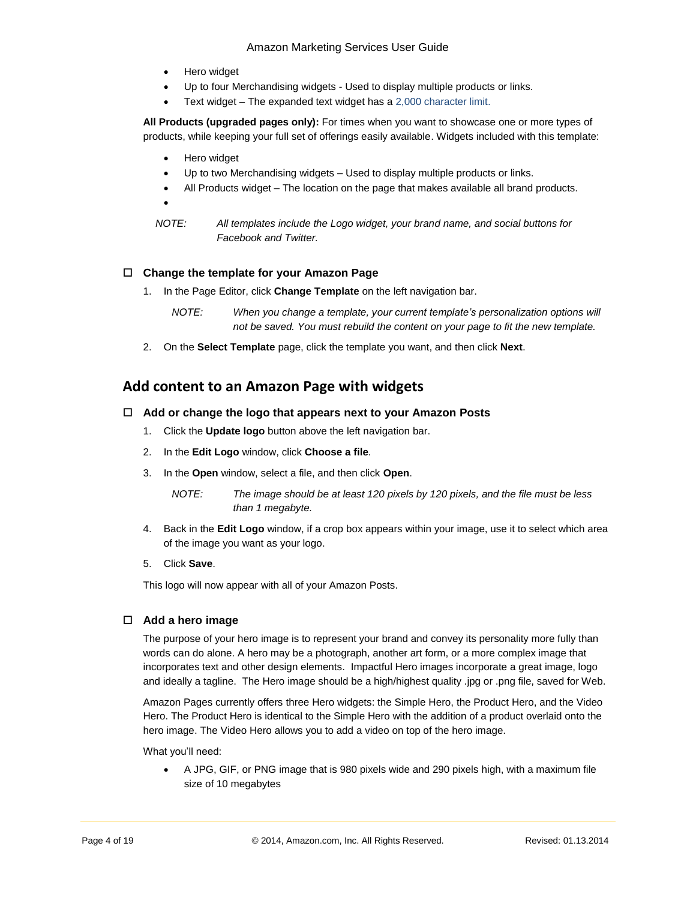- Hero widget
- Up to four Merchandising widgets Used to display multiple products or links.
- Text widget The expanded text widget has a 2,000 character limit.

**All Products (upgraded pages only):** For times when you want to showcase one or more types of products, while keeping your full set of offerings easily available. Widgets included with this template:

Hero widget

 $\bullet$ 

- Up to two Merchandising widgets Used to display multiple products or links.
- All Products widget The location on the page that makes available all brand products.
	-
- *NOTE: All templates include the Logo widget, your brand name, and social buttons for Facebook and Twitter.*

#### <span id="page-3-1"></span>**Change the template for your Amazon Page**

- 1. In the Page Editor, click **Change Template** on the left navigation bar.
	- *NOTE: When you change a template, your current template's personalization options will not be saved. You must rebuild the content on your page to fit the new template.*
- 2. On the **Select Template** page, click the template you want, and then click **Next**.

#### <span id="page-3-0"></span>**Add content to an Amazon Page with widgets**

#### **Add or change the logo that appears next to your Amazon Posts**

- 1. Click the **Update logo** button above the left navigation bar.
- 2. In the **Edit Logo** window, click **Choose a file**.
- 3. In the **Open** window, select a file, and then click **Open**.
	- *NOTE: The image should be at least 120 pixels by 120 pixels, and the file must be less than 1 megabyte.*
- 4. Back in the **Edit Logo** window, if a crop box appears within your image, use it to select which area of the image you want as your logo.
- 5. Click **Save**.

This logo will now appear with all of your Amazon Posts.

#### **Add a hero image**

The purpose of your hero image is to represent your brand and convey its personality more fully than words can do alone. A hero may be a photograph, another art form, or a more complex image that incorporates text and other design elements. Impactful Hero images incorporate a great image, logo and ideally a tagline. The Hero image should be a high/highest quality .jpg or .png file, saved for Web.

Amazon Pages currently offers three Hero widgets: the Simple Hero, the Product Hero, and the Video Hero. The Product Hero is identical to the Simple Hero with the addition of a product overlaid onto the hero image. The Video Hero allows you to add a video on top of the hero image.

What you'll need:

 A JPG, GIF, or PNG image that is 980 pixels wide and 290 pixels high, with a maximum file size of 10 megabytes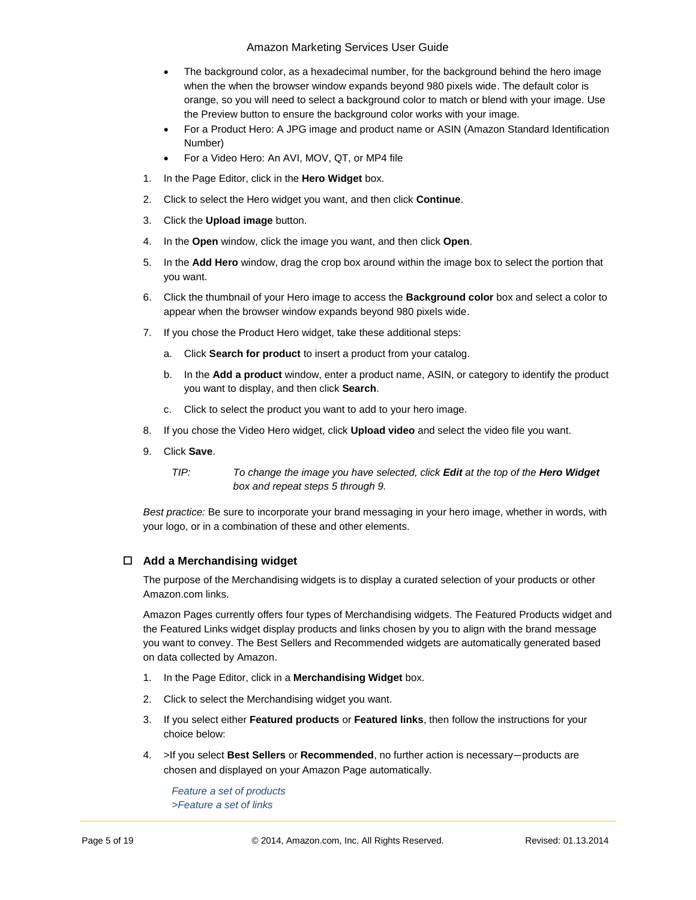- The background color, as a hexadecimal number, for the background behind the hero image when the when the browser window expands beyond 980 pixels wide. The default color is orange, so you will need to select a background color to match or blend with your image. Use the Preview button to ensure the background color works with your image.
- For a Product Hero: A JPG image and product name or ASIN (Amazon Standard Identification Number)
- For a Video Hero: An AVI, MOV, QT, or MP4 file
- 1. In the Page Editor, click in the **Hero Widget** box.
- 2. Click to select the Hero widget you want, and then click **Continue**.
- 3. Click the **Upload image** button.
- 4. In the **Open** window, click the image you want, and then click **Open**.
- 5. In the **Add Hero** window, drag the crop box around within the image box to select the portion that you want.
- 6. Click the thumbnail of your Hero image to access the **Background color** box and select a color to appear when the browser window expands beyond 980 pixels wide.
- 7. If you chose the Product Hero widget, take these additional steps:
	- a. Click **Search for product** to insert a product from your catalog.
	- b. In the **Add a product** window, enter a product name, ASIN, or category to identify the product you want to display, and then click **Search**.
	- c. Click to select the product you want to add to your hero image.
- 8. If you chose the Video Hero widget, click **Upload video** and select the video file you want.
- 9. Click **Save**.
	- *TIP: To change the image you have selected, click Edit at the top of the Hero Widget box and repeat steps 5 through 9.*

*Best practice:* Be sure to incorporate your brand messaging in your hero image, whether in words, with your logo, or in a combination of these and other elements.

#### **Add a Merchandising widget**

The purpose of the Merchandising widgets is to display a curated selection of your products or other Amazon.com links.

Amazon Pages currently offers four types of Merchandising widgets. The Featured Products widget and the Featured Links widget display products and links chosen by you to align with the brand message you want to convey. The Best Sellers and Recommended widgets are automatically generated based on data collected by Amazon.

- 1. In the Page Editor, click in a **Merchandising Widget** box.
- 2. Click to select the Merchandising widget you want.
- 3. If you select either **Featured products** or **Featured links**, then follow the instructions for your choice below:
- 4. >If you select **Best Sellers** or **Recommended**[, no further action is necessary](#page-5-0)—products are [chosen and displayed on your Amazon Page automatically.](#page-5-0)

*Feature [a set of products](#page-5-0) >Feature [a set of links](#page-5-1)*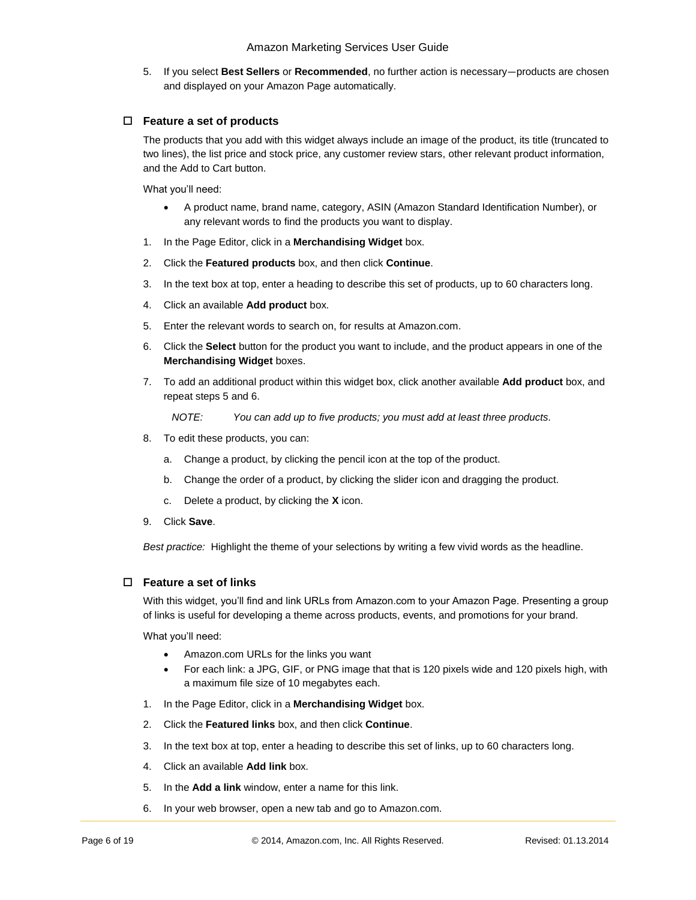<span id="page-5-0"></span>5. If you select **Best Sellers** or **Recommended**, no further action is necessary—products are chosen and displayed on your Amazon Page automatically.

#### **Feature a set of products**

The products that you add with this widget always include an image of the product, its title (truncated to two lines), the list price and stock price, any customer review stars, other relevant product information, and the Add to Cart button.

What you'll need:

- A product name, brand name, category, ASIN (Amazon Standard Identification Number), or any relevant words to find the products you want to display.
- 1. In the Page Editor, click in a **Merchandising Widget** box.
- 2. Click the **Featured products** box, and then click **Continue**.
- 3. In the text box at top, enter a heading to describe this set of products, up to 60 characters long.
- 4. Click an available **Add product** box.
- 5. Enter the relevant words to search on, for results at Amazon.com.
- 6. Click the **Select** button for the product you want to include, and the product appears in one of the **Merchandising Widget** boxes.
- 7. To add an additional product within this widget box, click another available **Add product** box, and repeat steps 5 and 6.

*NOTE: You can add up to five products; you must add at least three products.*

- 8. To edit these products, you can:
	- a. Change a product, by clicking the pencil icon at the top of the product.
	- b. Change the order of a product, by clicking the slider icon and dragging the product.
	- c. Delete a product, by clicking the **X** icon.
- 9. Click **Save**.

*Best practice:* Highlight the theme of your selections by writing a few vivid words as the headline.

#### <span id="page-5-1"></span>**Feature a set of links**

With this widget, you'll find and link URLs from Amazon.com to your Amazon Page. Presenting a group of links is useful for developing a theme across products, events, and promotions for your brand.

What you'll need:

- Amazon.com URLs for the links you want
- For each link: a JPG, GIF, or PNG image that that is 120 pixels wide and 120 pixels high, with a maximum file size of 10 megabytes each.
- 1. In the Page Editor, click in a **Merchandising Widget** box.
- 2. Click the **Featured links** box, and then click **Continue**.
- 3. In the text box at top, enter a heading to describe this set of links, up to 60 characters long.
- 4. Click an available **Add link** box.
- 5. In the **Add a link** window, enter a name for this link.
- 6. In your web browser, open a new tab and go to Amazon.com.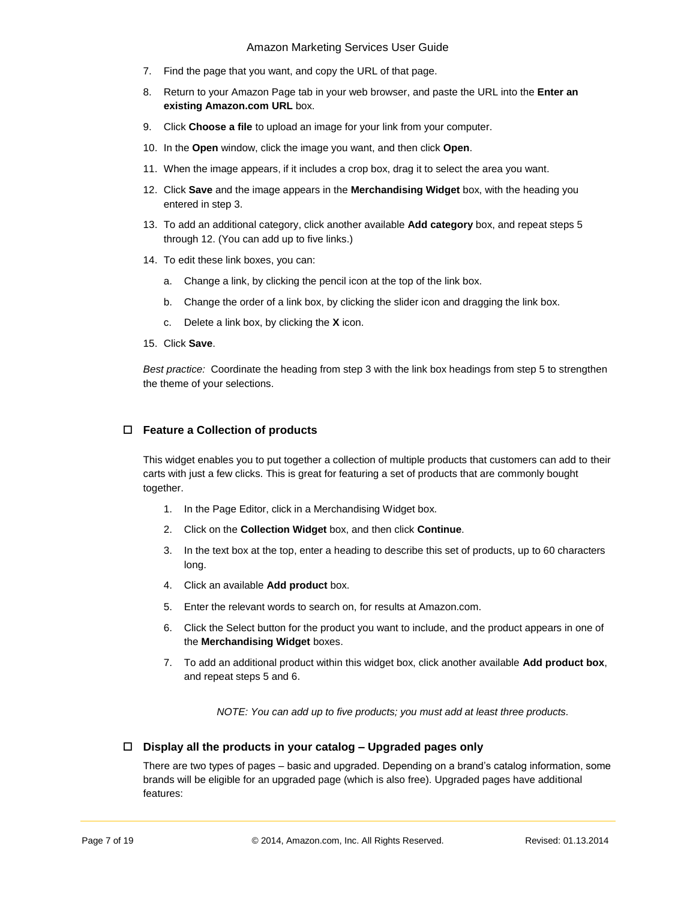- 7. Find the page that you want, and copy the URL of that page.
- 8. Return to your Amazon Page tab in your web browser, and paste the URL into the **Enter an existing Amazon.com URL** box.
- 9. Click **Choose a file** to upload an image for your link from your computer.
- 10. In the **Open** window, click the image you want, and then click **Open**.
- 11. When the image appears, if it includes a crop box, drag it to select the area you want.
- 12. Click **Save** and the image appears in the **Merchandising Widget** box, with the heading you entered in step 3.
- 13. To add an additional category, click another available **Add category** box, and repeat steps 5 through 12. (You can add up to five links.)
- 14. To edit these link boxes, you can:
	- a. Change a link, by clicking the pencil icon at the top of the link box.
	- b. Change the order of a link box, by clicking the slider icon and dragging the link box.
	- c. Delete a link box, by clicking the **X** icon.
- 15. Click **Save**.

*Best practice:* Coordinate the heading from step 3 with the link box headings from step 5 to strengthen the theme of your selections.

#### **Feature a Collection of products**

This widget enables you to put together a collection of multiple products that customers can add to their carts with just a few clicks. This is great for featuring a set of products that are commonly bought together.

- 1. In the Page Editor, click in a Merchandising Widget box.
- 2. Click on the **Collection Widget** box, and then click **Continue**.
- 3. In the text box at the top, enter a heading to describe this set of products, up to 60 characters long.
- 4. Click an available **Add product** box.
- 5. Enter the relevant words to search on, for results at Amazon.com.
- 6. Click the Select button for the product you want to include, and the product appears in one of the **Merchandising Widget** boxes.
- 7. To add an additional product within this widget box, click another available **Add product box**, and repeat steps 5 and 6.

*NOTE: You can add up to five products; you must add at least three products.*

#### **Display all the products in your catalog – Upgraded pages only**

There are two types of pages – basic and upgraded. Depending on a brand's catalog information, some brands will be eligible for an upgraded page (which is also free). Upgraded pages have additional features: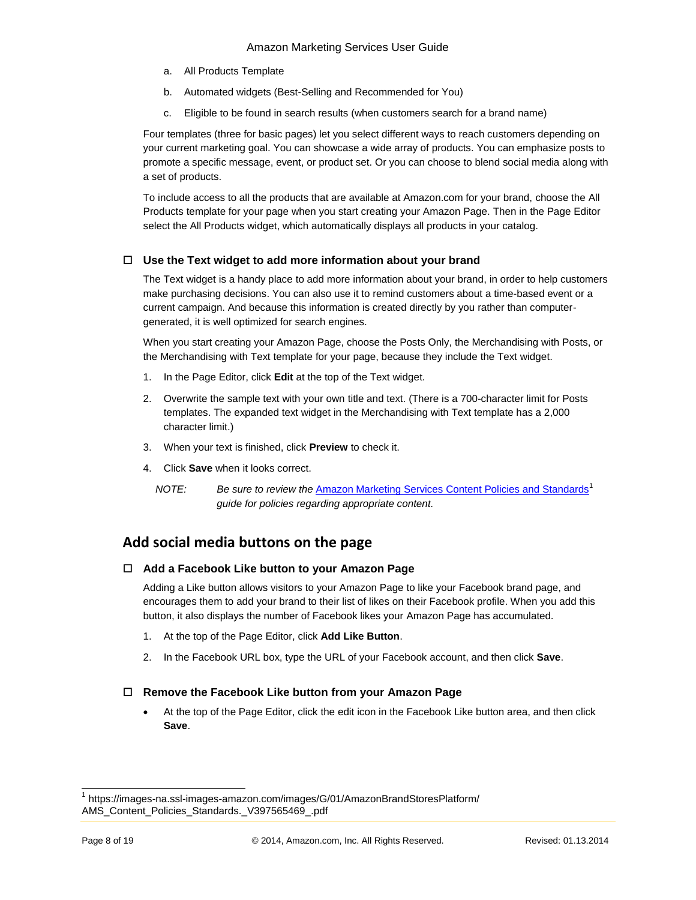- a. All Products Template
- b. Automated widgets (Best-Selling and Recommended for You)
- c. Eligible to be found in search results (when customers search for a brand name)

Four templates (three for basic pages) let you select different ways to reach customers depending on your current marketing goal. You can showcase a wide array of products. You can emphasize posts to promote a specific message, event, or product set. Or you can choose to blend social media along with a set of products.

To include access to all the products that are available at Amazon.com for your brand, choose the All Products template for your page when you start creating your Amazon Page. Then in the Page Editor select the All Products widget, which automatically displays all products in your catalog.

#### **Use the Text widget to add more information about your brand**

The Text widget is a handy place to add more information about your brand, in order to help customers make purchasing decisions. You can also use it to remind customers about a time-based event or a current campaign. And because this information is created directly by you rather than computergenerated, it is well optimized for search engines.

When you start creating your Amazon Page, choose the Posts Only, the Merchandising with Posts, or the Merchandising with Text template for your page, because they include the Text widget.

- 1. In the Page Editor, click **Edit** at the top of the Text widget.
- 2. Overwrite the sample text with your own title and text. (There is a 700-character limit for Posts templates. The expanded text widget in the Merchandising with Text template has a 2,000 character limit.)
- 3. When your text is finished, click **Preview** to check it.
- 4. Click **Save** when it looks correct.
	- *NOTE:* Be sure to review the [Amazon Marketing Services Content Policies and Standards](https://images-na.ssl-images-amazon.com/images/G/01/AmazonBrandStoresPlatform/AMS_Content_Policies_Standards._V397565469_.pdf)<sup>1</sup> *guide for policies regarding appropriate content.*

#### **Add social media buttons on the page**

#### **Add a Facebook Like button to your Amazon Page**

Adding a Like button allows visitors to your Amazon Page to like your Facebook brand page, and encourages them to add your brand to their list of likes on their Facebook profile. When you add this button, it also displays the number of Facebook likes your Amazon Page has accumulated.

- 1. At the top of the Page Editor, click **Add Like Button**.
- 2. In the Facebook URL box, type the URL of your Facebook account, and then click **Save**.

#### **Remove the Facebook Like button from your Amazon Page**

 At the top of the Page Editor, click the edit icon in the Facebook Like button area, and then click **Save**.

 $\overline{a}$ 

<sup>1</sup> https://images-na.ssl-images-amazon.com/images/G/01/AmazonBrandStoresPlatform/ AMS\_Content\_Policies\_Standards.\_V397565469\_.pdf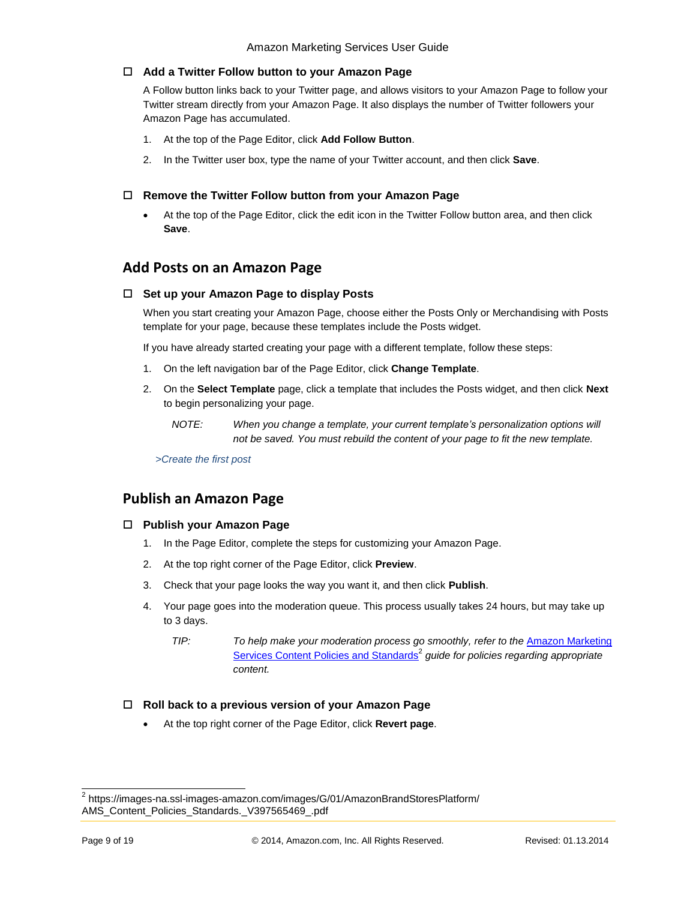#### **Add a Twitter Follow button to your Amazon Page**

A Follow button links back to your Twitter page, and allows visitors to your Amazon Page to follow your Twitter stream directly from your Amazon Page. It also displays the number of Twitter followers your Amazon Page has accumulated.

- 1. At the top of the Page Editor, click **Add Follow Button**.
- 2. In the Twitter user box, type the name of your Twitter account, and then click **Save**.

#### **Remove the Twitter Follow button from your Amazon Page**

 At the top of the Page Editor, click the edit icon in the Twitter Follow button area, and then click **Save**.

#### **Add Posts on an Amazon Page**

#### **Set up your Amazon Page to display Posts**

When you start creating your Amazon Page, choose either the Posts Only or Merchandising with Posts template for your page, because these templates include the Posts widget.

If you have already started creating your page with a different template, follow these steps:

- 1. On the left navigation bar of the Page Editor, click **Change Template**.
- 2. On the **Select Template** page, click a template that includes the Posts widget, and then click **Next** to begin personalizing your page.
	- *NOTE: When you change a template, your current template's personalization options will not be saved. You must rebuild the content of your page to fit the new template.*

*[>Create the first](#page-10-0) post*

#### **Publish an Amazon Page**

#### **Publish your Amazon Page**

- 1. In the Page Editor, complete the steps for customizing your Amazon Page.
- 2. At the top right corner of the Page Editor, click **Preview**.
- 3. Check that your page looks the way you want it, and then click **Publish**.
- 4. Your page goes into the moderation queue. This process usually takes 24 hours, but may take up to 3 days.
	- *TIP: To help make your moderation process go smoothly, refer to the* [Amazon Marketing](https://images-na.ssl-images-amazon.com/images/G/01/AmazonBrandStoresPlatform/AMS_Content_Policies_Standards._V397565469_.pdf)  [Services Content Policies and Standards](https://images-na.ssl-images-amazon.com/images/G/01/AmazonBrandStoresPlatform/AMS_Content_Policies_Standards._V397565469_.pdf)<sup>2</sup> guide for policies regarding appropriate *content.*

#### **Roll back to a previous version of your Amazon Page**

At the top right corner of the Page Editor, click **Revert page**.

 2 https://images-na.ssl-images-amazon.com/images/G/01/AmazonBrandStoresPlatform/ AMS\_Content\_Policies\_Standards.\_V397565469\_.pdf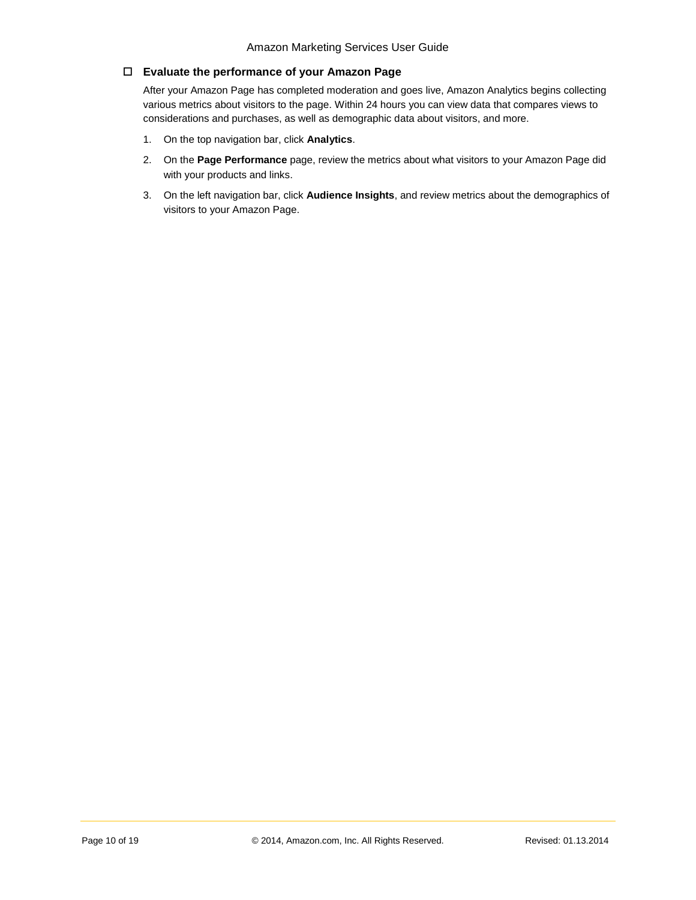#### **Evaluate the performance of your Amazon Page**

After your Amazon Page has completed moderation and goes live, Amazon Analytics begins collecting various metrics about visitors to the page. Within 24 hours you can view data that compares views to considerations and purchases, as well as demographic data about visitors, and more.

- 1. On the top navigation bar, click **Analytics**.
- 2. On the **Page Performance** page, review the metrics about what visitors to your Amazon Page did with your products and links.
- 3. On the left navigation bar, click **Audience Insights**, and review metrics about the demographics of visitors to your Amazon Page.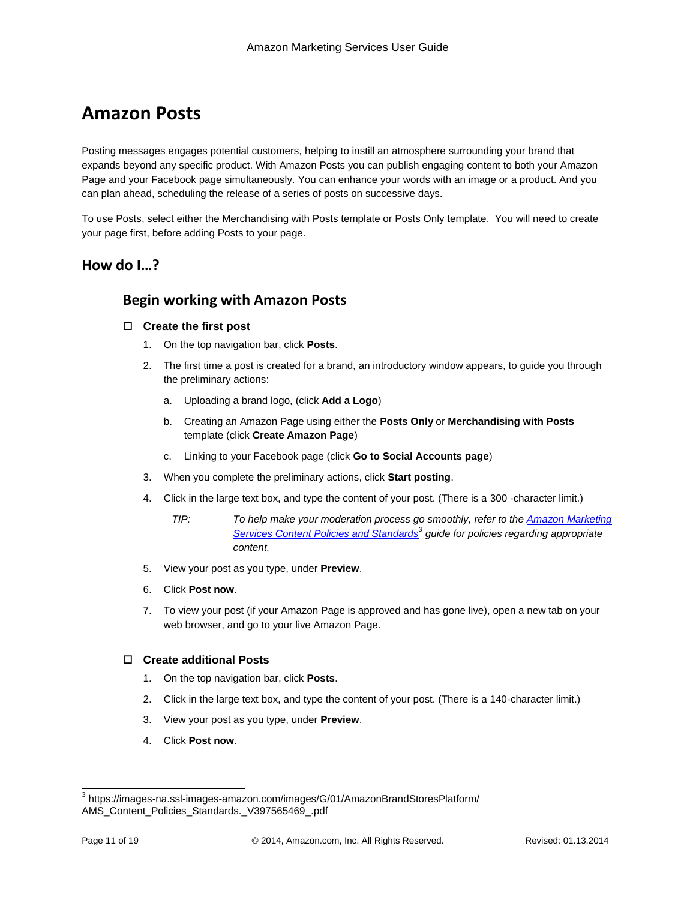## **Amazon Posts**

Posting messages engages potential customers, helping to instill an atmosphere surrounding your brand that expands beyond any specific product. With Amazon Posts you can publish engaging content to both your Amazon Page and your Facebook page simultaneously. You can enhance your words with an image or a product. And you can plan ahead, scheduling the release of a series of posts on successive days.

To use Posts, select either the Merchandising with Posts template or Posts Only template. You will need to create your page first, before adding Posts to your page.

#### **How do I…?**

#### **Begin working with Amazon Posts**

#### <span id="page-10-0"></span>**Create the first post**

- 1. On the top navigation bar, click **Posts**.
- 2. The first time a post is created for a brand, an introductory window appears, to guide you through the preliminary actions:
	- a. Uploading a brand logo, (click **Add a Logo**)
	- b. Creating an Amazon Page using either the **Posts Only** or **Merchandising with Posts**  template (click **[Create Amazon Page](https://ams-preprod.amazon.com/pages?entityId=ENTITY18QNFEZ1J7OXG)**)
	- c. Linking to your Facebook page (click **[Go to Social Accounts page](https://ams-preprod.amazon.com/connectsocial?entityId=ENTITY18QNFEZ1J7OXG)**)
- 3. When you complete the preliminary actions, click **Start posting**.
- 4. Click in the large text box, and type the content of your post. (There is a 300 -character limit.)
	- *TIP: To help make your moderation process go smoothly, refer to the [Amazon Marketing](https://images-na.ssl-images-amazon.com/images/G/01/AmazonBrandStoresPlatform/AMS_Content_Policies_Standards._V397565469_.pdf)  [Services Content Policies and Standards](https://images-na.ssl-images-amazon.com/images/G/01/AmazonBrandStoresPlatform/AMS_Content_Policies_Standards._V397565469_.pdf)<sup>3</sup> guide for policies regarding appropriate content.*
- 5. View your post as you type, under **Preview**.
- 6. Click **Post now**.
- 7. To view your post (if your Amazon Page is approved and has gone live), open a new tab on your web browser, and go to your live Amazon Page.

#### **Create additional Posts**

- 1. On the top navigation bar, click **Posts**.
- 2. Click in the large text box, and type the content of your post. (There is a 140-character limit.)
- 3. View your post as you type, under **Preview**.
- 4. Click **Post now**.

 3 https://images-na.ssl-images-amazon.com/images/G/01/AmazonBrandStoresPlatform/ AMS\_Content\_Policies\_Standards.\_V397565469\_.pdf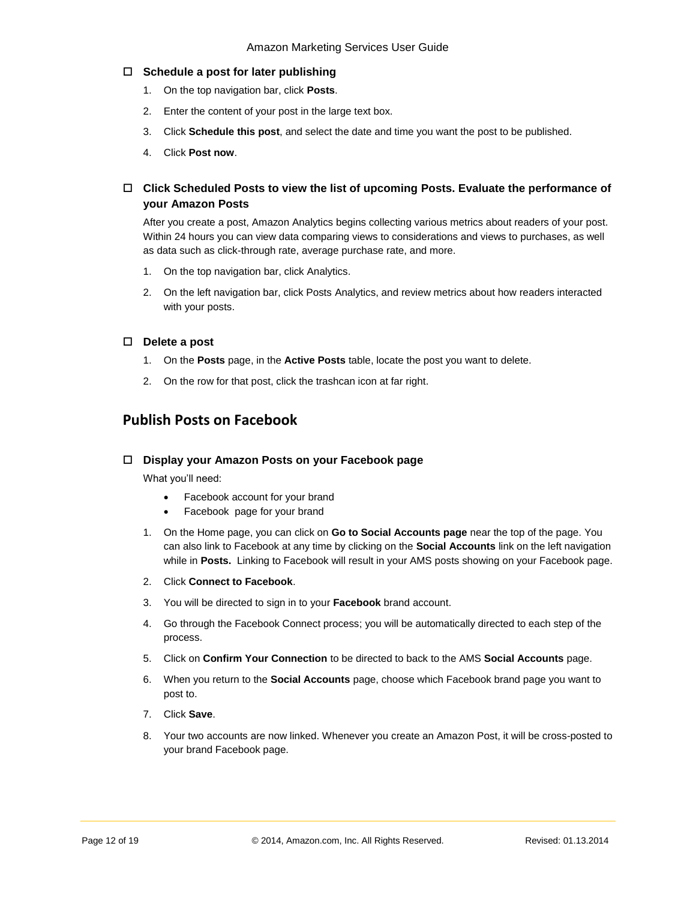#### **Schedule a post for later publishing**

- 1. On the top navigation bar, click **Posts**.
- 2. Enter the content of your post in the large text box.
- 3. Click **Schedule this post**, and select the date and time you want the post to be published.
- 4. Click **Post now**.

#### **Click Scheduled Posts to view the list of upcoming Posts. Evaluate the performance of your Amazon Posts**

After you create a post, Amazon Analytics begins collecting various metrics about readers of your post. Within 24 hours you can view data comparing views to considerations and views to purchases, as well as data such as click-through rate, average purchase rate, and more.

- 1. On the top navigation bar, click Analytics.
- 2. On the left navigation bar, click Posts Analytics, and review metrics about how readers interacted with your posts.

#### **Delete a post**

- 1. On the **Posts** page, in the **Active Posts** table, locate the post you want to delete.
- 2. On the row for that post, click the trashcan icon at far right.

#### **Publish Posts on Facebook**

#### **Display your Amazon Posts on your Facebook page**

What you'll need:

- Facebook account for your brand
- Facebook page for your brand
- 1. On the Home page, you can click on **[Go to Social Accounts page](https://ams-preprod.amazon.com/connectsocial?entityId=ENTITY18QNFEZ1J7OXG)** near the top of the page. You can also link to Facebook at any time by clicking on the **Social Accounts** link on the left navigation while in **Posts.** Linking to Facebook will result in your AMS posts showing on your Facebook page.
- 2. Click **Connect to Facebook**.
- 3. You will be directed to sign in to your **Facebook** brand account.
- 4. Go through the Facebook Connect process; you will be automatically directed to each step of the process.
- 5. Click on **Confirm Your Connection** to be directed to back to the AMS **Social Accounts** page.
- 6. When you return to the **Social Accounts** page, choose which Facebook brand page you want to post to.
- 7. Click **Save**.
- 8. Your two accounts are now linked. Whenever you create an Amazon Post, it will be cross-posted to your brand Facebook page.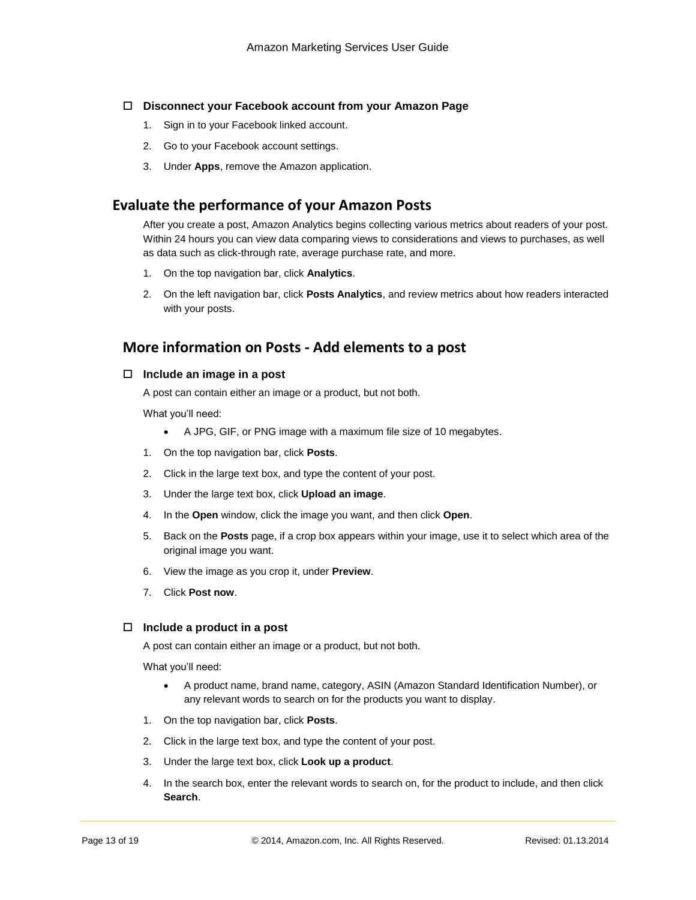#### **Disconnect your Facebook account from your Amazon Page**

- 1. Sign in to your Facebook linked account.
- 2. Go to your Facebook account settings.
- 3. Under **Apps**, remove the Amazon application.

#### **Evaluate the performance of your Amazon Posts**

After you create a post, Amazon Analytics begins collecting various metrics about readers of your post. Within 24 hours you can view data comparing views to considerations and views to purchases, as well as data such as click-through rate, average purchase rate, and more.

- 1. On the top navigation bar, click **Analytics**.
- 2. On the left navigation bar, click **Posts Analytics**, and review metrics about how readers interacted with your posts.

#### **More information on Posts - Add elements to a post**

#### **Include an image in a post**

A post can contain either an image or a product, but not both.

What you'll need:

- A JPG, GIF, or PNG image with a maximum file size of 10 megabytes.
- 1. On the top navigation bar, click **Posts**.
- 2. Click in the large text box, and type the content of your post.
- 3. Under the large text box, click **Upload an image**.
- 4. In the **Open** window, click the image you want, and then click **Open**.
- 5. Back on the **Posts** page, if a crop box appears within your image, use it to select which area of the original image you want.
- 6. View the image as you crop it, under **Preview**.
- 7. Click **Post now**.

#### **Include a product in a post**

A post can contain either an image or a product, but not both.

What you'll need:

- A product name, brand name, category, ASIN (Amazon Standard Identification Number), or any relevant words to search on for the products you want to display.
- 1. On the top navigation bar, click **Posts**.
- 2. Click in the large text box, and type the content of your post.
- 3. Under the large text box, click **Look up a product**.
- 4. In the search box, enter the relevant words to search on, for the product to include, and then click **Search**.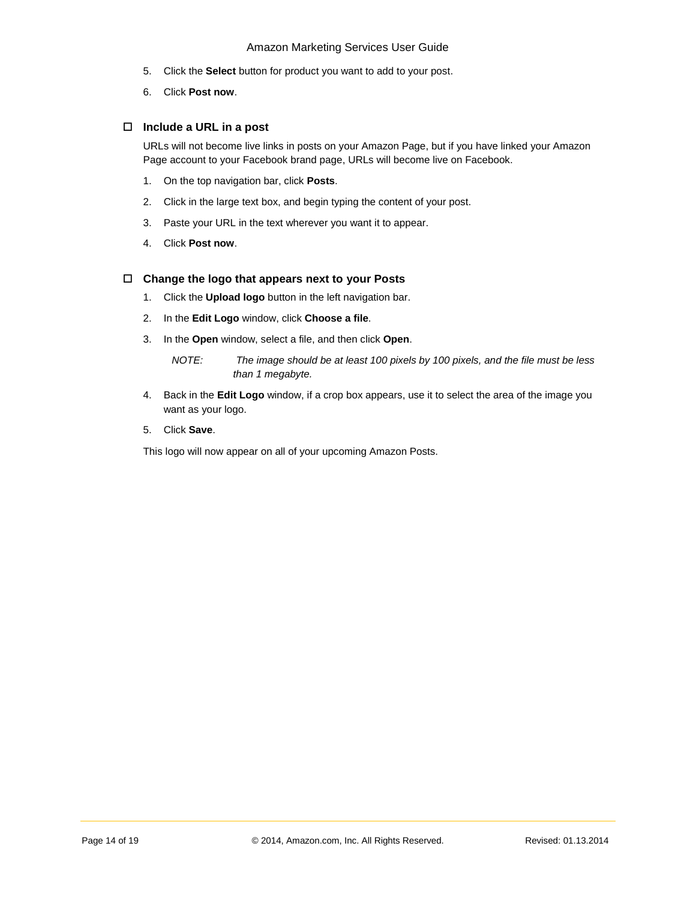- 5. Click the **Select** button for product you want to add to your post.
- 6. Click **Post now**.

#### **Include a URL in a post**

URLs will not become live links in posts on your Amazon Page, but if you have linked your Amazon Page account to your Facebook brand page, URLs will become live on Facebook.

- 1. On the top navigation bar, click **Posts**.
- 2. Click in the large text box, and begin typing the content of your post.
- 3. Paste your URL in the text wherever you want it to appear.
- 4. Click **Post now**.

#### **Change the logo that appears next to your Posts**

- 1. Click the **Upload logo** button in the left navigation bar.
- 2. In the **Edit Logo** window, click **Choose a file**.
- 3. In the **Open** window, select a file, and then click **Open**.

*NOTE: The image should be at least 100 pixels by 100 pixels, and the file must be less than 1 megabyte.*

- 4. Back in the **Edit Logo** window, if a crop box appears, use it to select the area of the image you want as your logo.
- 5. Click **Save**.

This logo will now appear on all of your upcoming Amazon Posts.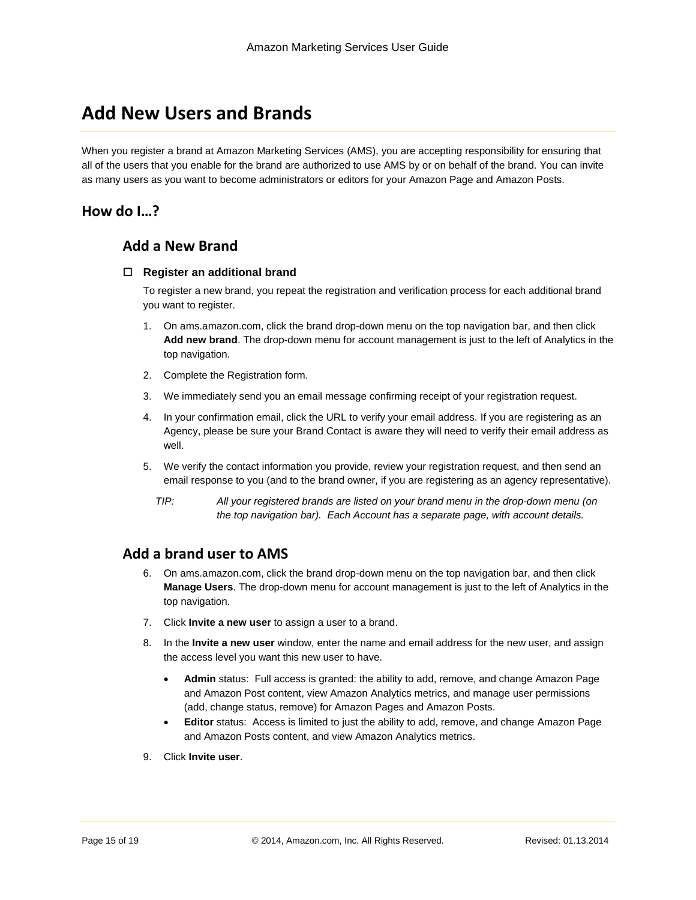## **Add New Users and Brands**

When you register a brand at Amazon Marketing Services (AMS), you are accepting responsibility for ensuring that all of the users that you enable for the brand are authorized to use AMS by or on behalf of the brand. You can invite as many users as you want to become administrators or editors for your Amazon Page and Amazon Posts.

#### **How do I…?**

#### **Add a New Brand**

#### **Register an additional brand**

To register a new brand, you repeat the registration and verification process for each additional brand you want to register.

- 1. On ams.amazon.com, click the brand drop-down menu on the top navigation bar, and then click **Add new brand**. The drop-down menu for account management is just to the left of Analytics in the top navigation.
- 2. Complete the Registration form.
- 3. We immediately send you an email message confirming receipt of your registration request.
- 4. In your confirmation email, click the URL to verify your email address. If you are registering as an Agency, please be sure your Brand Contact is aware they will need to verify their email address as well.
- 5. We verify the contact information you provide, review your registration request, and then send an email response to you (and to the brand owner, if you are registering as an agency representative).
	- *TIP: All your registered brands are listed on your brand menu in the drop-down menu (on the top navigation bar). Each Account has a separate page, with account details.*

#### **Add a brand user to AMS**

- 6. On ams.amazon.com, click the brand drop-down menu on the top navigation bar, and then click **Manage Users**. The drop-down menu for account management is just to the left of Analytics in the top navigation.
- 7. Click **Invite a new user** to assign a user to a brand.
- 8. In the **Invite a new user** window, enter the name and email address for the new user, and assign the access level you want this new user to have.
	- **Admin** status: Full access is granted: the ability to add, remove, and change Amazon Page and Amazon Post content, view Amazon Analytics metrics, and manage user permissions (add, change status, remove) for Amazon Pages and Amazon Posts.
	- **Editor** status: Access is limited to just the ability to add, remove, and change Amazon Page and Amazon Posts content, and view Amazon Analytics metrics.
- 9. Click **Invite user**.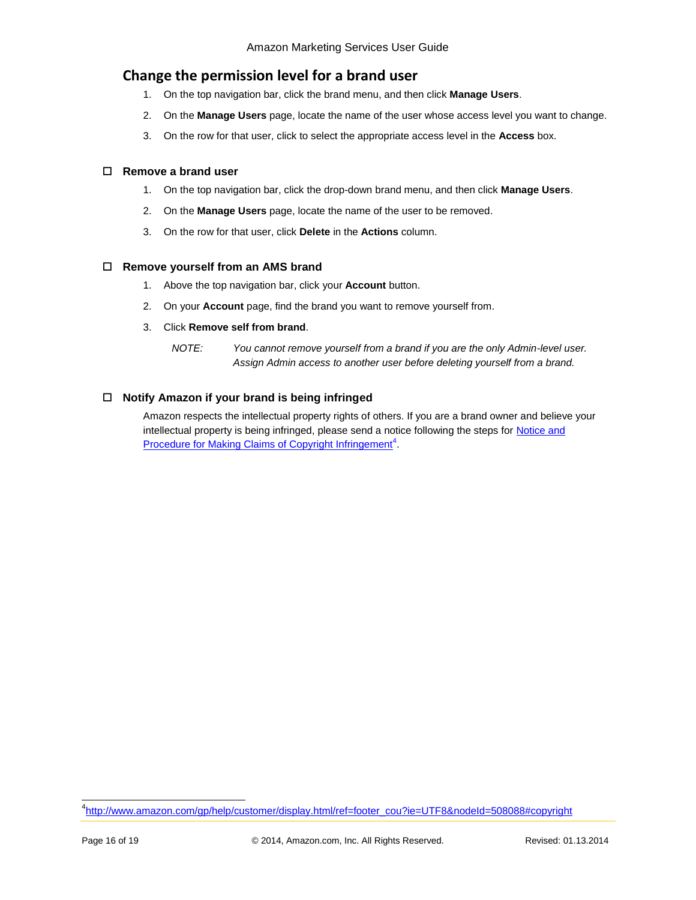#### **Change the permission level for a brand user**

- 1. On the top navigation bar, click the brand menu, and then click **Manage Users**.
- 2. On the **Manage Users** page, locate the name of the user whose access level you want to change.
- 3. On the row for that user, click to select the appropriate access level in the **Access** box.

#### **Remove a brand user**

- 1. On the top navigation bar, click the drop-down brand menu, and then click **Manage Users**.
- 2. On the **Manage Users** page, locate the name of the user to be removed.
- 3. On the row for that user, click **Delete** in the **Actions** column.

#### **Remove yourself from an AMS brand**

- 1. Above the top navigation bar, click your **Account** button.
- 2. On your **Account** page, find the brand you want to remove yourself from.
- 3. Click **Remove self from brand**.
	- *NOTE: You cannot remove yourself from a brand if you are the only Admin-level user. Assign Admin access to another user before deleting yourself from a brand.*

#### **Notify Amazon if your brand is being infringed**

Amazon respects the intellectual property rights of others. If you are a brand owner and believe your intellectual property is being infringed, please send a notice following the steps for Notice and [Procedure for Making Claims of Copyright Infringement](http://www.amazon.com/gp/help/customer/display.html/ref=footer_cou?ie=UTF8&nodeId=508088#copyright)<sup>4</sup>.

l <sup>4</sup>[http://www.amazon.com/gp/help/customer/display.html/ref=footer\\_cou?ie=UTF8&nodeId=508088#copyright](http://www.amazon.com/gp/help/customer/display.html/ref=footer_cou?ie=UTF8&nodeId=508088#copyright)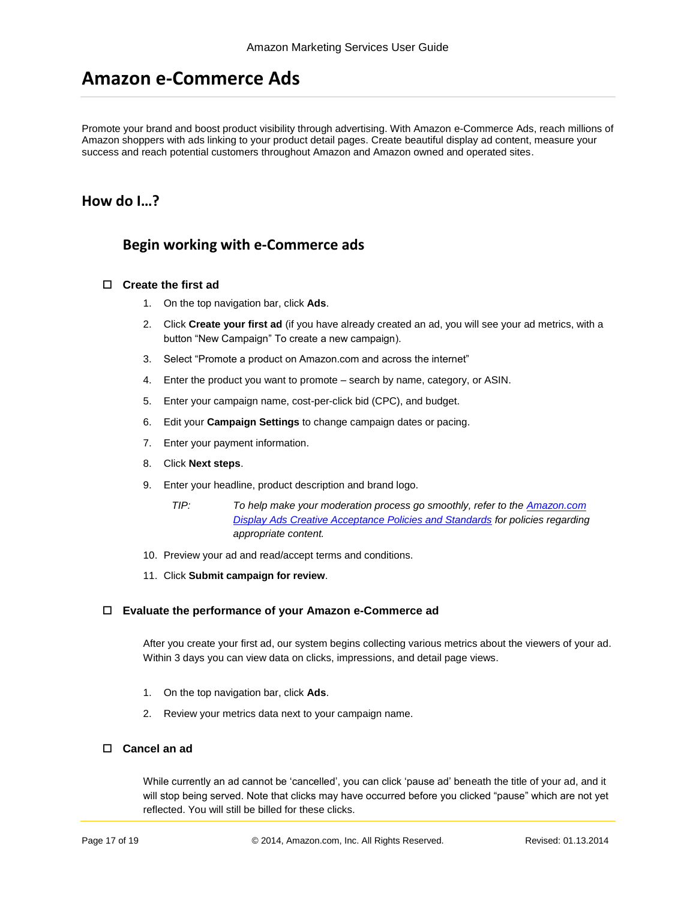## **Amazon e-Commerce Ads**

Promote your brand and boost product visibility through advertising. With Amazon e-Commerce Ads, reach millions of Amazon shoppers with ads linking to your product detail pages. Create beautiful display ad content, measure your success and reach potential customers throughout Amazon and Amazon owned and operated sites.

#### **How do I…?**

#### **Begin working with e-Commerce ads**

#### **Create the first ad**

- 1. On the top navigation bar, click **Ads**.
- 2. Click **Create your first ad** (if you have already created an ad, you will see your ad metrics, with a button "New Campaign" To create a new campaign).
- 3. Select "Promote a product on Amazon.com and across the internet"
- 4. Enter the product you want to promote search by name, category, or ASIN.
- 5. Enter your campaign name, cost-per-click bid (CPC), and budget.
- 6. Edit your **Campaign Settings** to change campaign dates or pacing.
- 7. Enter your payment information.
- 8. Click **Next steps**.
- 9. Enter your headline, product description and brand logo.
	- *TIP: To help make your moderation process go smoothly, refer to the [Amazon.com](http://www.amazon.com/b/?&node=3055298011)  [Display Ads Creative Acceptance Policies and Standards](http://www.amazon.com/b/?&node=3055298011) for policies regarding appropriate content.*
- 10. Preview your ad and read/accept terms and conditions.
- 11. Click **Submit campaign for review**.

#### **Evaluate the performance of your Amazon e-Commerce ad**

After you create your first ad, our system begins collecting various metrics about the viewers of your ad. Within 3 days you can view data on clicks, impressions, and detail page views.

- 1. On the top navigation bar, click **Ads**.
- 2. Review your metrics data next to your campaign name.

#### **Cancel an ad**

While currently an ad cannot be 'cancelled', you can click 'pause ad' beneath the title of your ad, and it will stop being served. Note that clicks may have occurred before you clicked "pause" which are not yet reflected. You will still be billed for these clicks.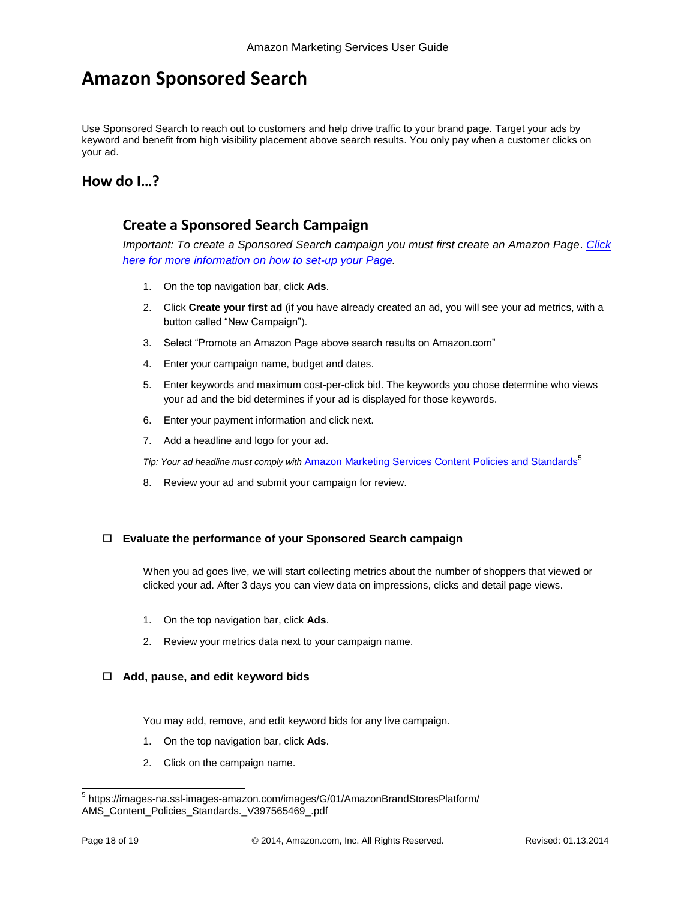## **Amazon Sponsored Search**

Use Sponsored Search to reach out to customers and help drive traffic to your brand page. Target your ads by keyword and benefit from high visibility placement above search results. You only pay when a customer clicks on your ad.

#### **How do I…?**

#### **Create a Sponsored Search Campaign**

*Important: To create a Sponsored Search campaign you must first create an Amazon Page*. *[Click](#page-1-0)  [here for more information on how to set-up your Page.](#page-1-0)*

- 1. On the top navigation bar, click **Ads**.
- 2. Click **Create your first ad** (if you have already created an ad, you will see your ad metrics, with a button called "New Campaign").
- 3. Select "Promote an Amazon Page above search results on Amazon.com"
- 4. Enter your campaign name, budget and dates.
- 5. Enter keywords and maximum cost-per-click bid. The keywords you chose determine who views your ad and the bid determines if your ad is displayed for those keywords.
- 6. Enter your payment information and click next.
- 7. Add a headline and logo for your ad.

*Tip: Your ad headline must comply with [Amazon Marketing Services Content Policies and Standards](https://images-na.ssl-images-amazon.com/images/G/01/AmazonBrandStoresPlatform/AMS_Content_Policies_Standards._V397565469_.pdf)*<sup>5</sup>

8. Review your ad and submit your campaign for review.

#### **Evaluate the performance of your Sponsored Search campaign**

When you ad goes live, we will start collecting metrics about the number of shoppers that viewed or clicked your ad. After 3 days you can view data on impressions, clicks and detail page views.

- 1. On the top navigation bar, click **Ads**.
- 2. Review your metrics data next to your campaign name.

#### **Add, pause, and edit keyword bids**

You may add, remove, and edit keyword bids for any live campaign.

- 1. On the top navigation bar, click **Ads**.
- 2. Click on the campaign name.

 5 https://images-na.ssl-images-amazon.com/images/G/01/AmazonBrandStoresPlatform/ AMS\_Content\_Policies\_Standards.\_V397565469\_.pdf